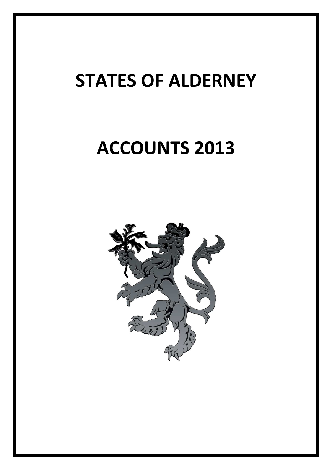# **ACCOUNTS 2013**

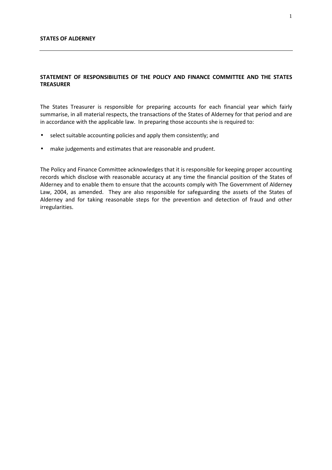## **STATEMENT OF RESPONSIBILITIES OF THE POLICY AND FINANCE COMMITTEE AND THE STATES TREASURER**

The States Treasurer is responsible for preparing accounts for each financial year which fairly summarise, in all material respects, the transactions of the States of Alderney for that period and are in accordance with the applicable law. In preparing those accounts she is required to:

- select suitable accounting policies and apply them consistently; and
- make judgements and estimates that are reasonable and prudent.

The Policy and Finance Committee acknowledges that it is responsible for keeping proper accounting records which disclose with reasonable accuracy at any time the financial position of the States of Alderney and to enable them to ensure that the accounts comply with The Government of Alderney Law, 2004, as amended. They are also responsible for safeguarding the assets of the States of Alderney and for taking reasonable steps for the prevention and detection of fraud and other irregularities.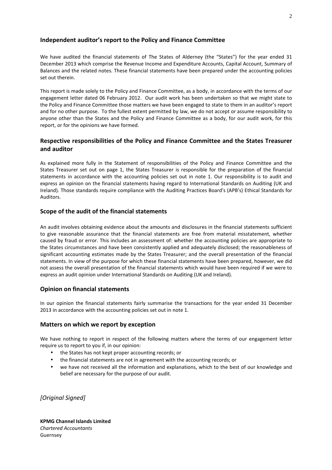## **Independent auditor's report to the Policy and Finance Committee**

We have audited the financial statements of The States of Alderney (the "States") for the year ended 31 December 2013 which comprise the Revenue Income and Expenditure Accounts, Capital Account, Summary of Balances and the related notes. These financial statements have been prepared under the accounting policies set out therein.

This report is made solely to the Policy and Finance Committee, as a body, in accordance with the terms of our engagement letter dated 06 February 2012. Our audit work has been undertaken so that we might state to the Policy and Finance Committee those matters we have been engaged to state to them in an auditor's report and for no other purpose. To the fullest extent permitted by law, we do not accept or assume responsibility to anyone other than the States and the Policy and Finance Committee as a body, for our audit work, for this report, or for the opinions we have formed.

## **Respective responsibilities of the Policy and Finance Committee and the States Treasurer and auditor**

As explained more fully in the Statement of responsibilities of the Policy and Finance Committee and the States Treasurer set out on page 1, the States Treasurer is responsible for the preparation of the financial statements in accordance with the accounting policies set out in note 1. Our responsibility is to audit and express an opinion on the financial statements having regard to International Standards on Auditing (UK and Ireland). Those standards require compliance with the Auditing Practices Board's (APB's) Ethical Standards for Auditors.

## **Scope of the audit of the financial statements**

An audit involves obtaining evidence about the amounts and disclosures in the financial statements sufficient to give reasonable assurance that the financial statements are free from material misstatement, whether caused by fraud or error. This includes an assessment of: whether the accounting policies are appropriate to the States circumstances and have been consistently applied and adequately disclosed; the reasonableness of significant accounting estimates made by the States Treasurer; and the overall presentation of the financial statements. In view of the purpose for which these financial statements have been prepared, however, we did not assess the overall presentation of the financial statements which would have been required if we were to express an audit opinion under International Standards on Auditing (UK and Ireland).

## **Opinion on financial statements**

In our opinion the financial statements fairly summarise the transactions for the year ended 31 December 2013 in accordance with the accounting policies set out in note 1.

## **Matters on which we report by exception**

We have nothing to report in respect of the following matters where the terms of our engagement letter require us to report to you if, in our opinion:

- the States has not kept proper accounting records; or
- the financial statements are not in agreement with the accounting records; or
- we have not received all the information and explanations, which to the best of our knowledge and belief are necessary for the purpose of our audit.

*[Original Signed]* 

**KPMG Channel Islands Limited**  *Chartered Accountants*  Guernsey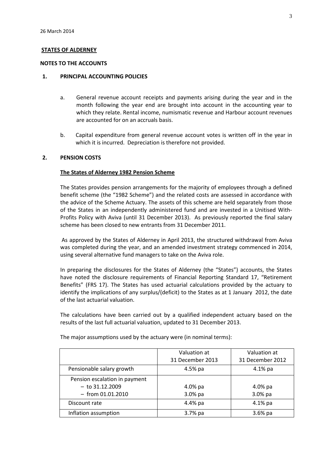#### **NOTES TO THE ACCOUNTS**

#### **1. PRINCIPAL ACCOUNTING POLICIES**

- a. General revenue account receipts and payments arising during the year and in the month following the year end are brought into account in the accounting year to which they relate. Rental income, numismatic revenue and Harbour account revenues are accounted for on an accruals basis.
- b. Capital expenditure from general revenue account votes is written off in the year in which it is incurred. Depreciation is therefore not provided.

## **2. PENSION COSTS**

#### **The States of Alderney 1982 Pension Scheme**

The States provides pension arrangements for the majority of employees through a defined benefit scheme (the "1982 Scheme") and the related costs are assessed in accordance with the advice of the Scheme Actuary. The assets of this scheme are held separately from those of the States in an independently administered fund and are invested in a Unitised With-Profits Policy with Aviva (until 31 December 2013). As previously reported the final salary scheme has been closed to new entrants from 31 December 2011.

 As approved by the States of Alderney in April 2013, the structured withdrawal from Aviva was completed during the year, and an amended investment strategy commenced in 2014, using several alternative fund managers to take on the Aviva role.

In preparing the disclosures for the States of Alderney (the "States") accounts, the States have noted the disclosure requirements of Financial Reporting Standard 17, "Retirement Benefits" (FRS 17). The States has used actuarial calculations provided by the actuary to identify the implications of any surplus/(deficit) to the States as at 1 January 2012, the date of the last actuarial valuation.

The calculations have been carried out by a qualified independent actuary based on the results of the last full actuarial valuation, updated to 31 December 2013.

|                               | Valuation at<br>31 December 2013 | Valuation at<br>31 December 2012 |
|-------------------------------|----------------------------------|----------------------------------|
| Pensionable salary growth     | 4.5% pa                          | $4.1\%$ pa                       |
| Pension escalation in payment |                                  |                                  |
| $-$ to 31.12.2009             | 4.0% pa                          | $4.0%$ pa                        |
| $-$ from 01.01.2010           | $3.0%$ pa                        | 3.0% pa                          |
| Discount rate                 | 4.4% pa                          | $4.1\%$ pa                       |
| Inflation assumption          | 3.7% pa                          | $3.6%$ pa                        |

The major assumptions used by the actuary were (in nominal terms):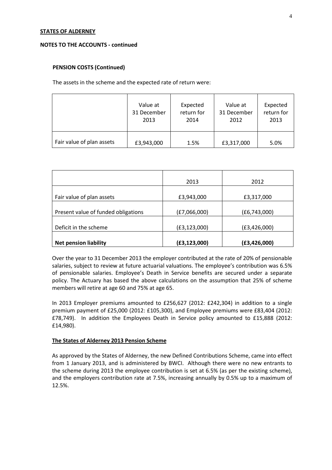#### **NOTES TO THE ACCOUNTS - continued**

## **PENSION COSTS (Continued)**

The assets in the scheme and the expected rate of return were:

|                           | Value at    | Expected   | Value at    | Expected   |
|---------------------------|-------------|------------|-------------|------------|
|                           | 31 December | return for | 31 December | return for |
|                           | 2013        | 2014       | 2012        | 2013       |
| Fair value of plan assets | £3,943,000  | 1.5%       | £3,317,000  | 5.0%       |

|                                     | 2013           | 2012           |
|-------------------------------------|----------------|----------------|
| Fair value of plan assets           | £3,943,000     | £3,317,000     |
| Present value of funded obligations | (E7,066,000)   | (E6, 743, 000) |
| Deficit in the scheme               | (E3, 123, 000) | (E3, 426, 000) |
| <b>Net pension liability</b>        | (E3, 123, 000) | (E3, 426, 000) |

Over the year to 31 December 2013 the employer contributed at the rate of 20% of pensionable salaries, subject to review at future actuarial valuations. The employee's contribution was 6.5% of pensionable salaries. Employee's Death in Service benefits are secured under a separate policy. The Actuary has based the above calculations on the assumption that 25% of scheme members will retire at age 60 and 75% at age 65.

In 2013 Employer premiums amounted to £256,627 (2012: £242,304) in addition to a single premium payment of £25,000 (2012: £105,300), and Employee premiums were £83,404 (2012: £78,749). In addition the Employees Death in Service policy amounted to £15,888 (2012: £14,980).

#### **The States of Alderney 2013 Pension Scheme**

As approved by the States of Alderney, the new Defined Contributions Scheme, came into effect from 1 January 2013, and is administered by BWCI. Although there were no new entrants to the scheme during 2013 the employee contribution is set at 6.5% (as per the existing scheme), and the employers contribution rate at 7.5%, increasing annually by 0.5% up to a maximum of 12.5%.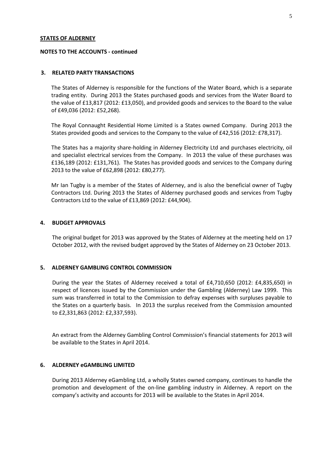#### **NOTES TO THE ACCOUNTS - continued**

#### **3. RELATED PARTY TRANSACTIONS**

The States of Alderney is responsible for the functions of the Water Board, which is a separate trading entity. During 2013 the States purchased goods and services from the Water Board to the value of £13,817 (2012: £13,050), and provided goods and services to the Board to the value of £49,036 (2012: £52,268).

The Royal Connaught Residential Home Limited is a States owned Company. During 2013 the States provided goods and services to the Company to the value of £42,516 (2012: £78,317).

The States has a majority share-holding in Alderney Electricity Ltd and purchases electricity, oil and specialist electrical services from the Company. In 2013 the value of these purchases was £136,189 (2012: £131,761). The States has provided goods and services to the Company during 2013 to the value of £62,898 (2012: £80,277).

Mr Ian Tugby is a member of the States of Alderney, and is also the beneficial owner of Tugby Contractors Ltd. During 2013 the States of Alderney purchased goods and services from Tugby Contractors Ltd to the value of £13,869 (2012: £44,904).

#### **4. BUDGET APPROVALS**

The original budget for 2013 was approved by the States of Alderney at the meeting held on 17 October 2012, with the revised budget approved by the States of Alderney on 23 October 2013.

#### **5. ALDERNEY GAMBLING CONTROL COMMISSION**

During the year the States of Alderney received a total of £4,710,650 (2012: £4,835,650) in respect of licences issued by the Commission under the Gambling (Alderney) Law 1999. This sum was transferred in total to the Commission to defray expenses with surpluses payable to the States on a quarterly basis. In 2013 the surplus received from the Commission amounted to £2,331,863 (2012: £2,337,593).

An extract from the Alderney Gambling Control Commission's financial statements for 2013 will be available to the States in April 2014.

#### **6. ALDERNEY eGAMBLING LIMITED**

During 2013 Alderney eGambling Ltd, a wholly States owned company, continues to handle the promotion and development of the on-line gambling industry in Alderney. A report on the company's activity and accounts for 2013 will be available to the States in April 2014.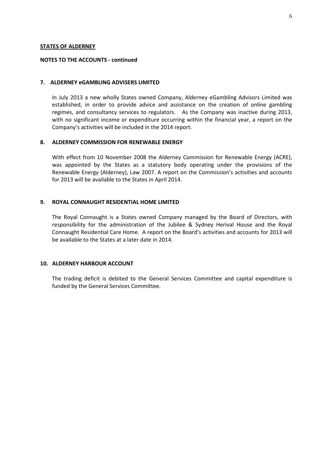#### **NOTES TO THE ACCOUNTS - continued**

#### **7. ALDERNEY eGAMBLING ADVISERS LIMITED**

In July 2013 a new wholly States owned Company, Alderney eGambling Advisors Limited was established, in order to provide advice and assistance on the creation of online gambling regimes, and consultancy services to regulators. As the Company was inactive during 2013, with no significant income or expenditure occurring within the financial year, a report on the Company's activities will be included in the 2014 report.

#### **8. ALDERNEY COMMISSION FOR RENEWABLE ENERGY**

With effect from 10 November 2008 the Alderney Commission for Renewable Energy (ACRE), was appointed by the States as a statutory body operating under the provisions of the Renewable Energy (Alderney), Law 2007. A report on the Commission's activities and accounts for 2013 will be available to the States in April 2014.

#### **9. ROYAL CONNAUGHT RESIDENTIAL HOME LIMITED**

The Royal Connaught is a States owned Company managed by the Board of Directors, with responsibility for the administration of the Jubilee & Sydney Herival House and the Royal Connaught Residential Care Home. A report on the Board's activities and accounts for 2013 will be available to the States at a later date in 2014.

#### **10. ALDERNEY HARBOUR ACCOUNT**

The trading deficit is debited to the General Services Committee and capital expenditure is funded by the General Services Committee.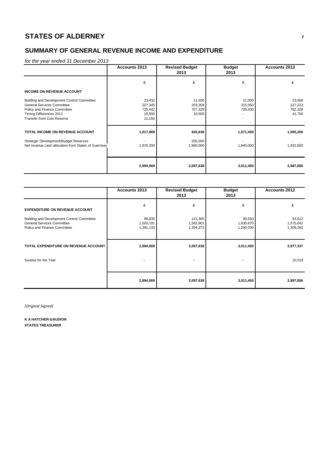## **SUMMARY OF GENERAL REVENUE INCOME AND EXPENDITURE**

for the year ended 31 December 2013

|                                                                                                                                                                                 | Accounts 2013                                    | <b>Revised Budget</b><br>2013          | <b>Budget</b><br>2013        | Accounts 2012                          |  |
|---------------------------------------------------------------------------------------------------------------------------------------------------------------------------------|--------------------------------------------------|----------------------------------------|------------------------------|----------------------------------------|--|
|                                                                                                                                                                                 | £                                                | £                                      | £                            | £                                      |  |
| <b>INCOME ON REVENUE ACCOUNT</b>                                                                                                                                                |                                                  |                                        |                              |                                        |  |
| Building and Development Control Committee<br><b>General Services Committee</b><br>Policy and Finance Committee<br>Timing Differences 2012<br><b>Transfer from Coin Reserve</b> | 23,432<br>227,345<br>735,442<br>10,500<br>21,150 | 11,500<br>203,309<br>707,329<br>10,500 | 21,000<br>315,050<br>735,400 | 23,956<br>227,222<br>762,328<br>41,700 |  |
| TOTAL INCOME ON REVENUE ACCOUNT                                                                                                                                                 | 1,017,869                                        | 932,638                                | 1,071,450                    | 1,055,206                              |  |
| Strategic Development/Budget Reserves<br>Net revenue cash allocation from States of Guernsey                                                                                    | 1,976,200                                        | 205,000<br>1,960,000                   | 1,940,000                    | 1,932,650                              |  |
|                                                                                                                                                                                 | 2,994,069                                        | 3,097,638                              | 3,011,450                    | 2,987,856                              |  |

|                                                                                                                 | <b>Accounts 2013</b>             | <b>Revised Budget</b><br>2013     | <b>Budget</b><br>2013            | <b>Accounts 2012</b>             |
|-----------------------------------------------------------------------------------------------------------------|----------------------------------|-----------------------------------|----------------------------------|----------------------------------|
| <b>EXPENDITURE ON REVENUE ACCOUNT</b>                                                                           | £                                | £                                 | £                                | £                                |
| Building and Development Control Committee<br><b>General Services Committee</b><br>Policy and Finance Committee | 99,835<br>1,503,101<br>1,391,133 | 121,365<br>1,581,901<br>1,394,372 | 90,550<br>1,630,870<br>1,290,030 | 93,012<br>1,575,042<br>1,309,283 |
| TOTAL EXPENDITURE ON REVENUE ACCOUNT                                                                            | 2,994,069                        | 3,097,638                         | 3,011,450                        | 2,977,337                        |
| Surplus for the Year                                                                                            |                                  |                                   | -                                | 10,519                           |
|                                                                                                                 | 2,994,069                        | 3,097,638                         | 3,011,450                        | 2,987,856                        |

*[Original Signed]*

**K A HATCHER-GAUDION STATES TREASURER**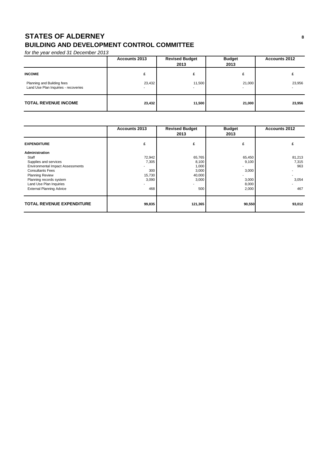# **STATES OF ALDERNEY <sup>8</sup> BUILDING AND DEVELOPMENT CONTROL COMMITTEE**

| <b>Accounts 2013</b>                                                                |        | <b>Revised Budget</b><br>2013 | <b>Budget</b><br>2013              | <b>Accounts 2012</b> |  |
|-------------------------------------------------------------------------------------|--------|-------------------------------|------------------------------------|----------------------|--|
| <b>INCOME</b><br>Planning and Building fees<br>Land Use Plan Inquiries - recoveries | 23,432 | 11,500                        | 21,000<br>$\overline{\phantom{a}}$ | 23,956               |  |
| <b>TOTAL REVENUE INCOME</b>                                                         | 23,432 | 11,500                        | 21,000                             | 23,956               |  |

|                                         | <b>Accounts 2013</b> | <b>Revised Budget</b><br>2013 | <b>Budget</b><br>2013 | <b>Accounts 2012</b> |
|-----------------------------------------|----------------------|-------------------------------|-----------------------|----------------------|
| <b>EXPENDITURE</b>                      | £                    | £                             | £                     | £                    |
| Administration                          |                      |                               |                       |                      |
| Staff                                   | 72,942               | 65,765                        | 65,450                | 81,213               |
| Supplies and services                   | 7,305                | 8,100                         | 9,100                 | 7,315                |
| <b>Environmental Impact Assessments</b> |                      | 1,000                         |                       | 963                  |
| <b>Consultants Fees</b>                 | 300                  | 3,000                         | 3,000                 |                      |
| <b>Planning Review</b>                  | 15,730               | 40,000                        |                       |                      |
| Planning records system                 | 3,090                | 3,000                         | 3,000                 | 3,054                |
| Land Use Plan Inquiries                 |                      |                               | 8,000                 |                      |
| <b>External Planning Advice</b>         | 468                  | 500                           | 2,000                 | 467                  |
| <b>TOTAL REVENUE EXPENDITURE</b>        | 99,835               | 121,365                       | 90,550                | 93,012               |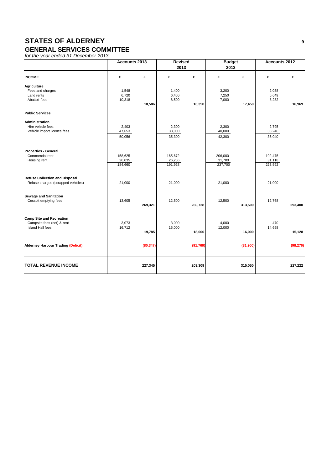#### **GENERAL SERVICES COMMITTEE**

|                                                                                          | Accounts 2013                |           | <b>Revised</b><br>2013       | <b>Budget</b><br>2013 |                              |          | Accounts 2012                |           |
|------------------------------------------------------------------------------------------|------------------------------|-----------|------------------------------|-----------------------|------------------------------|----------|------------------------------|-----------|
| <b>INCOME</b>                                                                            | £                            | £         | £                            | £                     | £                            | £        | £                            | £         |
| Agriculture<br>Fees and charges<br>Land rents<br>Abattoir fees                           | 1,548<br>6,720<br>10,318     | 18,586    | 1,400<br>6,450<br>8,500      | 16,350                | 3,200<br>7,250<br>7,000      | 17,450   | 2,038<br>6,649<br>8,282      | 16,969    |
| <b>Public Services</b>                                                                   |                              |           |                              |                       |                              |          |                              |           |
| Administration<br>Hire vehicle fees<br>Vehicle import licence fees                       | 2,403<br>47,653<br>50,056    |           | 2,300<br>33,000<br>35,300    |                       | 2,300<br>40,000<br>42,300    |          | 2,795<br>33,246<br>36,040    |           |
| <b>Properties - General</b><br>Commercial rent<br>Housing rent                           | 158,625<br>26,035<br>184,660 |           | 165,672<br>26,256<br>191,928 |                       | 206,000<br>31,700<br>237,700 |          | 192,475<br>31,118<br>223,592 |           |
| <b>Refuse Collection and Disposal</b><br>Refuse charges (scrapped vehicles)              | 21,000                       |           | 21,000                       |                       | 21,000                       |          | 21,000                       |           |
| <b>Sewage and Sanitation</b><br>Cesspit emptying fees                                    | 13,605                       | 269,321   | 12,500                       | 260,728               | 12,500                       | 313,500  | 12,768                       | 293,400   |
| <b>Camp Site and Recreation</b><br>Campsite fees (net) & rent<br><b>Island Hall fees</b> | 3,073<br>16,712              | 19,785    | 3,000<br>15,000              | 18,000                | 4,000<br>12,000              | 16,000   | 470<br>14,658                | 15,128    |
| <b>Alderney Harbour Trading (Deficit)</b>                                                |                              | (80, 347) |                              | (91, 769)             |                              | (31,900) |                              | (98, 276) |
| <b>TOTAL REVENUE INCOME</b>                                                              |                              | 227,345   |                              | 203,309               |                              | 315,050  |                              | 227,222   |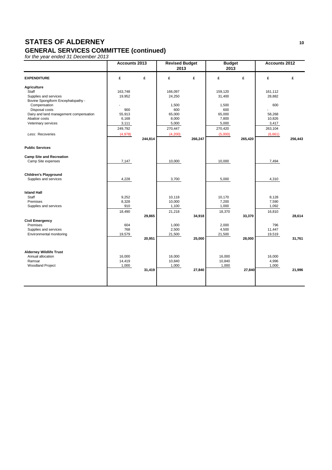#### **GENERAL SERVICES COMMITTEE (continued)**

|                                                                                            | <b>Accounts 2013</b>      |         | <b>Revised Budget</b><br>2013 |         | <b>Budget</b><br>2013     |         | <b>Accounts 2012</b>       |         |
|--------------------------------------------------------------------------------------------|---------------------------|---------|-------------------------------|---------|---------------------------|---------|----------------------------|---------|
| <b>EXPENDITURE</b>                                                                         | £                         | £       | £                             | £       | £                         | £       | £                          | £       |
| <b>Agriculture</b><br>Staff<br>Supplies and services<br>Bovine Spongiform Encephalopathy - | 163,748<br>19,952         |         | 166,097<br>24,250             |         | 159,120<br>31,400         |         | 161,112<br>28,882          |         |
| Compensation<br>Disposal costs<br>Dairy and land management compensation                   | 900<br>55,913             |         | 1,500<br>600<br>65,000        |         | 1,500<br>600<br>65,000    |         | 600<br>58,268              |         |
| Abattoir costs<br>Veterinary services                                                      | 6,168<br>3,111<br>249,792 |         | 8,000<br>5,000<br>270,447     |         | 7,800<br>5,000<br>270,420 |         | 10,826<br>3,417<br>263,104 |         |
| Less: Recoveries                                                                           | (4,978)                   | 244,814 | (4,200)                       | 266,247 | (5,000)                   | 265,420 | (6,661)                    | 256,443 |
| <b>Public Services</b>                                                                     |                           |         |                               |         |                           |         |                            |         |
| <b>Camp Site and Recreation</b><br>Camp Site expenses                                      | 7,147                     |         | 10,000                        |         | 10,000                    |         | 7,494                      |         |
| <b>Children's Playground</b><br>Supplies and services                                      | 4,228                     |         | 3,700                         |         | 5,000                     |         | 4,310                      |         |
| <b>Island Hall</b><br>Staff<br>Premises<br>Supplies and services                           | 9,252<br>8,328<br>910     |         | 10,118<br>10,000<br>1,100     |         | 10,170<br>7,200<br>1,000  |         | 8,128<br>7,590<br>1,092    |         |
| <b>Civil Emergency</b>                                                                     | 18,490                    | 29,865  | 21,218                        | 34,918  | 18,370                    | 33,370  | 16,810                     | 28,614  |
| Premises<br>Supplies and services<br>Environmental monitoring                              | 604<br>768<br>19,579      |         | 1,000<br>2,500<br>21,500      |         | 2,000<br>4,500<br>21,500  |         | 796<br>11,447<br>19,519    |         |
|                                                                                            |                           | 20,951  |                               | 25,000  |                           | 28,000  |                            | 31,761  |
| <b>Alderney Wildlife Trust</b><br>Annual allocation<br>Ramsar                              | 16,000<br>14,419          |         | 16,000<br>10,840              |         | 16,000<br>10,840          |         | 16,000<br>4,996            |         |
| <b>Woodland Project</b>                                                                    | 1,000                     | 31,419  | 1,000                         | 27,840  | 1,000                     | 27,840  | 1,000                      | 21,996  |
|                                                                                            |                           |         |                               |         |                           |         |                            |         |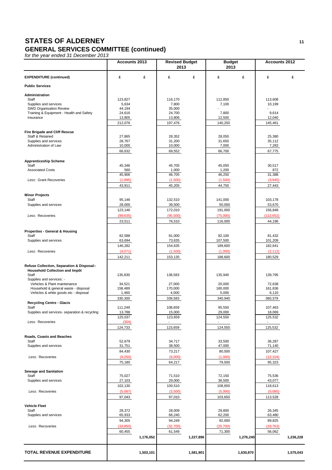#### **GENERAL SERVICES COMMITTEE (continued)**

|                                                                              | Accounts 2013     |           | <b>Revised Budget</b><br>2013 |           | <b>Budget</b><br>2013    |           | <b>Accounts 2012</b>     |           |
|------------------------------------------------------------------------------|-------------------|-----------|-------------------------------|-----------|--------------------------|-----------|--------------------------|-----------|
| <b>EXPENDITURE (continued)</b>                                               | £                 | £         | £                             | £         | £                        | £         | £                        | £         |
| <b>Public Services</b>                                                       |                   |           |                               |           |                          |           |                          |           |
| Administration                                                               |                   |           |                               |           |                          |           |                          |           |
| Staff                                                                        | 123.827           |           | 116,170                       |           | 112,850                  |           | 113,608                  |           |
| Supplies and services<br>SWD Organisation Review                             | 5,634<br>44,194   |           | 7,800<br>35,000               |           | 7,100                    |           | 10,199<br>$\overline{a}$ |           |
| Training & Equipment - Health and Safety                                     | 24,616            |           | 24,700                        |           | 7,800                    |           | 9,614                    |           |
| Insurance                                                                    | 13,805            |           | 13,806                        |           | 12,500                   |           | 12,040                   |           |
|                                                                              | 212,076           |           | 197,476                       |           | 140,250                  |           | 145,461                  |           |
| <b>Fire Brigade and Cliff Rescue</b>                                         |                   |           |                               |           |                          |           |                          |           |
| Staff & Retained<br>Supplies and services                                    | 27,865<br>28,767  |           | 28,352<br>31,200              |           | 28,050<br>31,650         |           | 25,380<br>35,112         |           |
| Administration of Law                                                        | 10,000            |           | 10,000                        |           | 7,000                    |           | 7,283                    |           |
|                                                                              | 66,632            |           | 69,552                        |           | 66,700                   |           | 67,775                   |           |
|                                                                              |                   |           |                               |           |                          |           |                          |           |
| <b>Apprenticeship Scheme</b><br>Staff                                        | 45,346            |           | 45,705                        |           | 45,050                   |           | 30,517                   |           |
| <b>Associated Costs</b>                                                      | 560               |           | 1,000                         |           | 1,200                    |           | 872                      |           |
|                                                                              | 45,906            |           | 46.705                        |           | 46.250                   |           | 31.388                   |           |
| Less: Grant Recoveries                                                       | (1,995)           |           | (1,500)                       |           | (1,500)                  |           | (3,945)                  |           |
|                                                                              | 43,911            |           | 45,205                        |           | 44,750                   |           | 27,443                   |           |
| <b>Minor Projects</b>                                                        |                   |           |                               |           |                          |           |                          |           |
| Staff                                                                        | 95,146            |           | 132,510                       |           | 141,000                  |           | 103,178                  |           |
| Supplies and services                                                        | 28,000            |           | 39,500                        |           | 50,000                   |           | 53,670                   |           |
|                                                                              | 123,146           |           | 172,010                       |           | 191,000                  |           | 156,848                  |           |
| Less: Recoveries                                                             | (99, 635)         |           | (95,500)                      |           | (75,000)                 |           | (112, 652)               |           |
|                                                                              | 23,511            |           | 76,510                        |           | 116,000                  |           | 44,196                   |           |
| Properties - General & Housing                                               |                   |           |                               |           |                          |           |                          |           |
| Staff                                                                        | 82,588            |           | 81,000                        |           | 82,100                   |           | 81,432                   |           |
| Supplies and services                                                        | 63,694<br>146,282 |           | 73,635                        |           | 107,500<br>189,600       |           | 101,209<br>182,641       |           |
| Less: Recoveries                                                             | (4,071)           |           | 154,635<br>(1,500)            |           | (1,000)                  |           | (2, 112)                 |           |
|                                                                              | 142,211           |           | 153,135                       |           | 188,600                  |           | 180,529                  |           |
|                                                                              |                   |           |                               |           |                          |           |                          |           |
| Refuse Collection, Separation & Disposal:-<br>Household Collection and Impôt |                   |           |                               |           |                          |           |                          |           |
| Staff                                                                        | 135,830           |           | 138,583                       |           | 135,940                  |           | 139,795                  |           |
| Supplies and services: -                                                     |                   |           |                               |           |                          |           |                          |           |
| Vehicles & Plant maintenance<br>Household & general waste - disposal         | 34,521<br>158,489 |           | 27,000<br>170,000             |           | 20,000<br>180,000        |           | 72,638<br>161,836        |           |
| Vehicles & white goods etc - disposal                                        | 1,460             |           | 4,000                         |           | 5,000                    |           | 6,110                    |           |
|                                                                              | 330,300           |           | 339,583                       |           | 340,940                  |           | 380,379                  |           |
| <b>Recycling Centre - Glacis</b><br>Staff                                    | 111.249           |           | 108,659                       |           | 95,550                   |           | 107.463                  |           |
| Supplies and services- separation & recycling                                | 13,788            |           | 15,000                        |           | 29,000                   |           | 18,069                   |           |
|                                                                              | 125,037           |           | 123,659                       |           | 124,550                  |           | 125,532                  |           |
| Less: Recoveries                                                             | (304)             |           |                               |           | $\overline{\phantom{a}}$ |           |                          |           |
|                                                                              | 124,733           |           | 123,659                       |           | 124,550                  |           | 125,532                  |           |
| Roads, Coasts and Beaches                                                    |                   |           |                               |           |                          |           |                          |           |
| Staff<br>Supplies and services                                               | 52,679<br>31,751  |           | 34,717<br>38,500              |           | 33,500<br>47,000         |           | 36,287<br>71,140         |           |
|                                                                              | 84,430            |           | 73,217                        |           | 80,500                   |           | 107,427                  |           |
| Less: Recoveries                                                             | (9,250)           |           | (9,000)                       |           | (1,000)                  |           | (12, 104)                |           |
|                                                                              | 75,180            |           | 64,217                        |           | 79,500                   |           | 95,323                   |           |
|                                                                              |                   |           |                               |           |                          |           |                          |           |
| <b>Sewage and Sanitation</b><br>Staff                                        | 75,027            |           | 71,510                        |           | 72,150                   |           | 75,536                   |           |
| Supplies and services                                                        | 27,103            |           | 29,000                        |           | 36,500                   |           | 43,077                   |           |
|                                                                              | 102,130           |           | 100,510                       |           | 108,650                  |           | 118,613                  |           |
| Less: Recoveries                                                             | (5,087)           |           | (3,500)                       |           | (5,000)                  |           | (5,085)                  |           |
|                                                                              | 97,043            |           | 97,010                        |           | 103,650                  |           | 113,528                  |           |
| <b>Vehicle Fleet</b>                                                         |                   |           |                               |           |                          |           |                          |           |
| Staff                                                                        | 28,372            |           | 28,009                        |           | 29,800                   |           | 26,345                   |           |
| Supplies and services                                                        | 65,933<br>94,305  |           | 66,240<br>94,249              |           | 62,200<br>92,000         |           | 63,480<br>89,825         |           |
| Less: Recoveries                                                             | (33, 850)         |           | (32,700)                      |           | (20, 700)                |           | (33, 763)                |           |
|                                                                              | 60,455            |           | 61,549                        |           | 71,300                   |           | 56,062                   |           |
|                                                                              |                   | 1,176,052 |                               | 1,227,896 |                          | 1,276,240 |                          | 1,236,228 |
|                                                                              |                   |           |                               |           |                          |           |                          |           |
| <b>TOTAL REVENUE EXPENDITURE</b>                                             |                   | 1,503,101 |                               | 1,581,901 |                          | 1,630,870 |                          | 1,575,043 |
|                                                                              |                   |           |                               |           |                          |           |                          |           |
|                                                                              |                   |           |                               |           |                          |           |                          |           |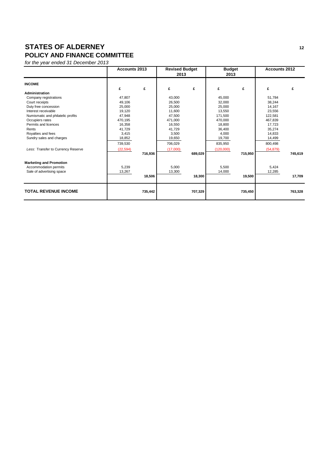## **STATES OF ALDERNEY** 12 **POLICY AND FINANCE COMMITTEE**

|                                    | Accounts 2013 |         | <b>Revised Budget</b><br>2013 |         | <b>Budget</b><br>2013 |         | <b>Accounts 2012</b> |         |
|------------------------------------|---------------|---------|-------------------------------|---------|-----------------------|---------|----------------------|---------|
| <b>INCOME</b>                      | £             | £       | £                             | £       | £                     | £       | £                    | £       |
| Administration                     |               |         |                               |         |                       |         |                      |         |
| Company registrations              | 47,807        |         | 43,000                        |         | 45,000                |         | 51,784               |         |
| Court receipts                     | 49.106        |         | 26.500                        |         | 32,000                |         | 38.244               |         |
| Duty free concession               | 25,000        |         | 25,000                        |         | 25,000                |         | 14,167               |         |
| Interest receivable                | 19,120        |         | 11,600                        |         | 13,550                |         | 23,556               |         |
| Numismatic and philatelic profits  | 47,948        |         | 47.500                        |         | 171,500               |         | 122.581              |         |
| Occupiers rates                    | 470,195       |         | 471,000                       |         | 470,000               |         | 467.839              |         |
| Permits and licences               | 16,358        |         | 16,550                        |         | 18,800                |         | 17,723               |         |
| Rents                              | 41.729        |         | 41.729                        |         | 36,400                |         | 35,274               |         |
| Royalties and fees                 | 3,415         |         | 3,500                         |         | 4,000                 |         | 14,833               |         |
| Sundry sales and charges           | 18,852        |         | 19,650                        |         | 19,700                |         | 14,499               |         |
|                                    | 739,530       |         | 706,029                       |         | 835,950               |         | 800,498              |         |
| Less: Transfer to Currency Reserve | (22, 594)     |         | (17,000)                      |         | (120,000)             |         | (54, 879)            |         |
|                                    |               | 716,936 |                               | 689,029 |                       | 715,950 |                      | 745,619 |
| <b>Marketing and Promotion</b>     |               |         |                               |         |                       |         |                      |         |
| Accommodation permits              | 5,239         |         | 5,000                         |         | 5,500                 |         | 5,424                |         |
| Sale of advertising space          | 13,267        |         | 13,300                        |         | 14,000                |         | 12,285               |         |
|                                    |               | 18,506  |                               | 18,300  |                       | 19,500  |                      | 17,709  |
| <b>TOTAL REVENUE INCOME</b>        |               | 735,442 |                               | 707,329 |                       | 735,450 |                      | 763,328 |
|                                    |               |         |                               |         |                       |         |                      |         |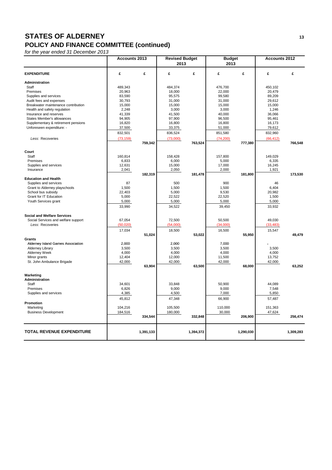## **STATES OF ALDERNEY** 13 **POLICY AND FINANCE COMMITTEE (continued)**

|                                     | Accounts 2013 |           | <b>Revised Budget</b><br>2013 |           | <b>Budget</b><br>2013 |           | <b>Accounts 2012</b> |           |
|-------------------------------------|---------------|-----------|-------------------------------|-----------|-----------------------|-----------|----------------------|-----------|
| <b>EXPENDITURE</b>                  | £             | £         | £                             | £         | £                     | £         | £                    | £         |
| Administration                      |               |           |                               |           |                       |           |                      |           |
| Staff                               | 489,343       |           | 484,374                       |           | 476,700               |           | 450,102              |           |
| Premises                            | 20,963        |           | 18,000                        |           | 22,000                |           | 20,479               |           |
| Supplies and services               | 83,590        |           | 95,575                        |           | 99,580                |           | 89,209               |           |
| Audit fees and expenses             | 30,793        |           | 31,000                        |           | 31,000                |           | 29,612               |           |
| Breakwater maintenance contribution | 15,000        |           | 15,000                        |           | 15,000                |           | 15,000               |           |
| Health and safety regulation        | 2,248         |           | 3,000                         |           | 3,000                 |           | 1,246                |           |
| Insurance and reserves              | 41,339        |           | 41,500                        |           | 40,000                |           | 36,066               |           |
| States Member's allowances          | 94,905        |           | 97,900                        |           | 96,500                |           | 95,461               |           |
| Supplementary & retirement pensions | 16,820        |           | 16,800                        |           | 16,800                |           | 16,173               |           |
| Unforeseen expenditure: -           | 37,500        |           | 33,375                        |           | 51,000                |           | 79,612               |           |
|                                     | 832,501       |           | 836,524                       |           | 851,580               |           | 832,960              |           |
| Less: Recoveries                    | (73, 159)     | 759,342   | (73,000)                      | 763,524   | (74, 200)             | 777,380   | (66, 412)            | 766,548   |
|                                     |               |           |                               |           |                       |           |                      |           |
| Court                               |               |           |                               |           |                       |           |                      |           |
| Staff                               | 160,814       |           | 158,428                       |           | 157,800               |           | 149,029              |           |
| Premises                            | 6,833         |           | 6,000                         |           | 5,000                 |           | 6,335                |           |
| Supplies and services               | 12,631        |           | 15,000                        |           | 17,000                |           | 16,245               |           |
| Insurance                           | 2,041         | 182,319   | 2,050                         | 181,478   | 2,000                 | 181,800   | 1,921                | 173,530   |
| <b>Education and Health</b>         |               |           |                               |           |                       |           |                      |           |
| Supplies and services               | 87            |           | 500                           |           | 900                   |           | 46                   |           |
| Grant to Alderney playschools       | 1,500         |           | 1,500                         |           | 1,500                 |           | 6,404                |           |
| School bus subsidy                  | 22,403        |           | 5,000                         |           | 9,530                 |           | 20,982               |           |
| Grant for IT Education              | 5,000         |           | 22,522                        |           | 22,520                |           | 1,500                |           |
| Youth Services grant                | 5,000         |           | 5,000                         |           | 5,000                 |           | 5,000                |           |
|                                     | 33,990        |           | 34,522                        |           | 39,450                |           | 33,932               |           |
| <b>Social and Welfare Services</b>  |               |           |                               |           |                       |           |                      |           |
| Social Services and welfare support | 67,054        |           | 72,500                        |           | 50,500                |           | 49,030               |           |
| Less: Recoveries                    | (50, 020)     |           | (54,000)                      |           | (34,000)              |           | (33, 483)            |           |
|                                     | 17,034        |           | 18,500                        |           | 16,500                |           | 15,547               |           |
|                                     |               | 51,024    |                               | 53,022    |                       | 55,950    |                      | 49,479    |
| <b>Grants</b>                       |               |           |                               |           |                       |           |                      |           |
| Alderney Island Games Association   | 2,000         |           | 2,000                         |           | 7,000                 |           |                      |           |
| <b>Alderney Library</b>             | 3,500         |           | 3,500                         |           | 3,500                 |           | 3,500                |           |
| Alderney Week                       | 4,000         |           | 4,000                         |           | 4,000                 |           | 4,000                |           |
| Minor grants                        | 12,404        |           | 12,000                        |           | 11,500                |           | 13,752               |           |
| St. John Ambulance Brigade          | 42,000        |           | 42,000                        |           | 42,000                |           | 42,000               |           |
|                                     |               | 63,904    |                               | 63,500    |                       | 68,000    |                      | 63,252    |
| Marketing                           |               |           |                               |           |                       |           |                      |           |
| Administration                      |               |           |                               |           |                       |           |                      |           |
| Staff                               | 34,601        |           | 33,848                        |           | 50,900                |           | 44,089               |           |
| Premises                            | 6,826         |           | 9,000                         |           | 9,000                 |           | 7,548                |           |
| Supplies and services               | 4,385         |           | 4,500                         |           | 7,000                 |           | 5,850                |           |
|                                     | 45,812        |           | 47,348                        |           | 66,900                |           | 57,487               |           |
| Promotion                           |               |           |                               |           |                       |           |                      |           |
| Marketing                           | 104,216       |           | 105,500                       |           | 110,000               |           | 151,363              |           |
| <b>Business Development</b>         | 184,516       | 334,544   | 180,000                       | 332,848   | 30,000                | 206,900   | 47,624               | 256,474   |
|                                     |               |           |                               |           |                       |           |                      |           |
| <b>TOTAL REVENUE EXPENDITURE</b>    |               | 1,391,133 |                               | 1,394,372 |                       | 1,290,030 |                      | 1,309,283 |
|                                     |               |           |                               |           |                       |           |                      |           |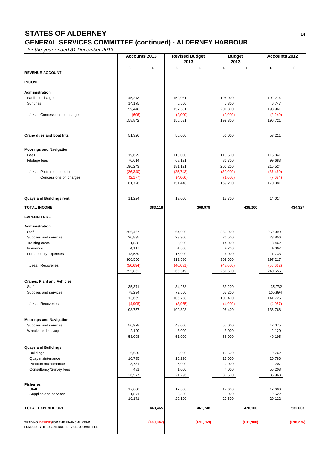# **STATES OF ALDERNEY <sup>14</sup> GENERAL SERVICES COMMITTEE (continued) - ALDERNEY HARBOUR**

|                                          | <b>Accounts 2013</b> |            | <b>Revised Budget</b><br>2013 |            | <b>Budget</b><br>2013 |           | <b>Accounts 2012</b> |            |
|------------------------------------------|----------------------|------------|-------------------------------|------------|-----------------------|-----------|----------------------|------------|
|                                          | £                    | £          | £                             | £          | £                     | £         | £                    | £          |
| <b>REVENUE ACCOUNT</b>                   |                      |            |                               |            |                       |           |                      |            |
| <b>INCOME</b>                            |                      |            |                               |            |                       |           |                      |            |
| Administration                           |                      |            |                               |            |                       |           |                      |            |
| Facilities charges                       | 145,273              |            | 152,031                       |            | 196,000               |           | 192,214              |            |
| Sundries                                 | 14,175               |            | 5,500                         |            | 5,300                 |           | 6,747                |            |
|                                          | 159,448              |            | 157,531                       |            | 201,300               |           | 198,961              |            |
| Less Concessions on charges              | (606)                |            | (2,000)                       |            | (2,000)               |           | (2, 240)             |            |
|                                          | 158,842              |            | 155,531                       |            | 199,300               |           | 196,721              |            |
| <b>Crane dues and boat lifts</b>         | 51,326               |            | 50,000                        |            | 56,000                |           | 53,211               |            |
| <b>Moorings and Navigation</b>           |                      |            |                               |            |                       |           |                      |            |
| Fees                                     | 119,629              |            | 113,000                       |            | 113,500               |           | 115,841              |            |
| Pilotage fees                            | 70,614               |            | 68,191                        |            | 86,700                |           | 99,683               |            |
|                                          | 190,243              |            | 181,191                       |            | 200,200               |           | 215,524              |            |
| Less: Pilots remuneration                | (26, 340)            |            | (25, 743)                     |            | (30,000)              |           | (37, 460)            |            |
| Concessions on charges                   | (2, 177)             |            | (4,000)                       |            | (1,000)               |           | (7,684)              |            |
|                                          | 161,726              |            | 151,448                       |            | 169,200               |           | 170,381              |            |
|                                          |                      |            |                               |            |                       |           |                      |            |
| <b>Quays and Buildings rent</b>          | 11,224               |            | 13,000                        |            | 13,700                |           | 14,014               |            |
| <b>TOTAL INCOME</b>                      |                      | 383,118    |                               | 369,979    |                       | 438,200   |                      | 434,327    |
| <b>EXPENDITURE</b>                       |                      |            |                               |            |                       |           |                      |            |
| Administration                           |                      |            |                               |            |                       |           |                      |            |
| Staff                                    | 266,467              |            | 264,080                       |            | 260,900               |           | 259,099              |            |
| Supplies and services                    | 20,895               |            | 23,900                        |            | 26,500                |           | 23,856               |            |
| Training costs                           | 1,538                |            | 5,000                         |            | 14,000                |           | 8,462                |            |
| Insurance                                | 4,117                |            | 4,600                         |            | 4,200                 |           | 4,067                |            |
| Port security expenses                   | 13,539               |            | 15,000                        |            | 4,000                 |           | 1,733                |            |
|                                          | 306,556              |            | 312,580                       |            | 309,600               |           | 297,217              |            |
| Less: Recoveries                         | (50, 694)            |            | (46, 031)                     |            | (48,000)              |           | (56, 662)            |            |
|                                          | 255,862              |            | 266,549                       |            | 261,600               |           | 240,555              |            |
| <b>Cranes, Plant and Vehicles</b>        |                      |            |                               |            |                       |           |                      |            |
| Staff                                    | 35,371               |            | 34,268                        |            | 33,200                |           | 35,732               |            |
| Supplies and services                    | 78,294               |            | 72,500                        |            | 67,200                |           | 105,994              |            |
|                                          | 113,665              |            | 106,768                       |            | 100,400               |           | 141,725              |            |
| Less: Recoveries                         | (4,908)              |            | (3.965)                       |            | (4.000)               |           | (4.957)              |            |
|                                          | 108,757              |            | 102,803                       |            | 96,400                |           | 136,768              |            |
| <b>Moorings and Navigation</b>           |                      |            |                               |            |                       |           |                      |            |
| Supplies and services                    | 50,978               |            | 48,000                        |            | 55,000                |           | 47,075               |            |
| Wrecks and salvage                       | 2,120                |            | 3,000                         |            | 3,000                 |           | 2,120                |            |
|                                          | 53,098               |            | 51,000                        |            | 58,000                |           | 49,195               |            |
| <b>Quays and Buildings</b>               |                      |            |                               |            |                       |           |                      |            |
| <b>Buildings</b>                         | 6,630                |            | 5,000                         |            | 10,500                |           | 9,762                |            |
| Quay maintenance                         | 10,735               |            | 10,296                        |            | 17,000                |           | 20,786               |            |
| Pontoon maintenance                      | 8,731                |            | 5,000                         |            | 2,000                 |           | 207                  |            |
| Consultancy/Survey fees                  | 481                  |            | 1,000                         |            | 4,000                 |           | 55,208               |            |
|                                          | 26,577               |            | 21,296                        |            | 33,500                |           | 85,963               |            |
| <b>Fisheries</b>                         |                      |            |                               |            |                       |           |                      |            |
| Staff                                    | 17,600               |            | 17,600                        |            | 17,600                |           | 17,600               |            |
| Supplies and services                    | 1,571<br>19,171      |            | 2,500<br>20,100               |            | 3,000<br>20,600       |           | 2,522<br>20,122      |            |
| <b>TOTAL EXPENDITURE</b>                 |                      | 463,465    |                               | 461,748    |                       | 470,100   |                      | 532,603    |
|                                          |                      |            |                               |            |                       |           |                      |            |
| TRADING (DEFICIT)FOR THE FINANCIAL YEAR  |                      | (E80, 347) |                               | (E91, 769) |                       | (E31,900) |                      | (E98, 276) |
| FUNDED BY THE GENERAL SERVICES COMMITTEE |                      |            |                               |            |                       |           |                      |            |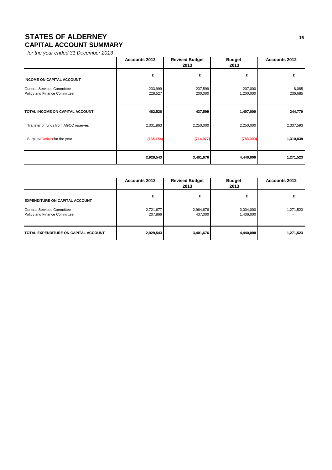# **STATES OF ALDERNEY** 15 **CAPITAL ACCOUNT SUMMARY**

|                                                                   | <b>Accounts 2013</b> | <b>Revised Budget</b><br>2013 | <b>Budget</b><br>2013 | <b>Accounts 2012</b> |
|-------------------------------------------------------------------|----------------------|-------------------------------|-----------------------|----------------------|
| <b>INCOME ON CAPITAL ACCOUNT</b>                                  | £                    | £                             | £                     | £                    |
| <b>General Services Committee</b><br>Policy and Finance Committee | 233,999<br>228,527   | 237,599<br>200,000            | 207,000<br>1,200,000  | 8,085<br>236,685     |
| TOTAL INCOME ON CAPITAL ACCOUNT                                   | 462,526              | 437,599                       | 1,407,000             | 244,770              |
| Transfer of funds from AGCC reserves                              | 2,331,863            | 2,250,000                     | 2,250,000             | 2,337,593            |
| Surplus/(Deficit) for the year                                    | (135, 154)           | (714, 077)                    | (783,000)             | 1,310,839            |
|                                                                   | 2,929,543            | 3,401,676                     | 4,440,000             | 1,271,523            |

|                                                                   | <b>Accounts 2013</b> | <b>Revised Budget</b><br>2013 | <b>Budget</b><br>2013  | <b>Accounts 2012</b> |
|-------------------------------------------------------------------|----------------------|-------------------------------|------------------------|----------------------|
| <b>EXPENDITURE ON CAPITAL ACCOUNT</b>                             | £                    | £                             | £                      |                      |
| <b>General Services Committee</b><br>Policy and Finance Committee | 2,721,677<br>207,866 | 2,964,676<br>437,000          | 3,004,000<br>1,436,000 | 1,271,523            |
| TOTAL EXPENDITURE ON CAPITAL ACCOUNT                              | 2,929,543            | 3,401,676                     | 4,440,000              | 1,271,523            |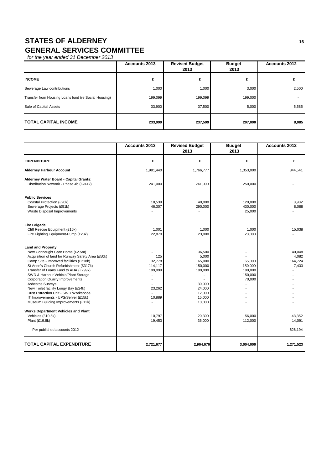# **STATES OF ALDERNEY** 16 **GENERAL SERVICES COMMITTEE**

|                                                      | <b>Accounts 2013</b> | <b>Revised Budget</b><br>2013 | <b>Budget</b><br>2013 | <b>Accounts 2012</b> |
|------------------------------------------------------|----------------------|-------------------------------|-----------------------|----------------------|
| <b>INCOME</b>                                        | £                    | £                             | £                     |                      |
| Sewerage Law contributions                           | 1.000                | 1,000                         | 3,000                 | 2,500                |
| Transfer from Housing Loans fund (re Social Housing) | 199,099              | 199,099                       | 199,000               |                      |
| Sale of Capital Assets                               | 33,900               | 37,500                        | 5,000                 | 5,585                |
| <b>TOTAL CAPITAL INCOME</b>                          | 233,999              | 237,599                       | 207,000               | 8,085                |

|                                                                                                                                                                                                                                                                                                                                                                                                                                                                                                                                                                                                                                              | <b>Accounts 2013</b>                                                                   | <b>Revised Budget</b><br>2013                                                                                                           | <b>Budget</b><br>2013                                                  | <b>Accounts 2012</b>                                               |
|----------------------------------------------------------------------------------------------------------------------------------------------------------------------------------------------------------------------------------------------------------------------------------------------------------------------------------------------------------------------------------------------------------------------------------------------------------------------------------------------------------------------------------------------------------------------------------------------------------------------------------------------|----------------------------------------------------------------------------------------|-----------------------------------------------------------------------------------------------------------------------------------------|------------------------------------------------------------------------|--------------------------------------------------------------------|
| <b>EXPENDITURE</b>                                                                                                                                                                                                                                                                                                                                                                                                                                                                                                                                                                                                                           | £                                                                                      | £                                                                                                                                       | £                                                                      | £                                                                  |
| <b>Alderney Harbour Account</b>                                                                                                                                                                                                                                                                                                                                                                                                                                                                                                                                                                                                              | 1,981,440                                                                              | 1,766,777                                                                                                                               | 1,353,000                                                              | 344,541                                                            |
| Alderney Water Board - Capital Grants:<br>Distribution Network - Phase 4b (£241k)                                                                                                                                                                                                                                                                                                                                                                                                                                                                                                                                                            | 241,000                                                                                | 241,000                                                                                                                                 | 250,000                                                                |                                                                    |
| <b>Public Services</b><br>Coastal Protection (£20k)<br>Sewerage Projects (£51k)<br>Waste Disposal Improvements                                                                                                                                                                                                                                                                                                                                                                                                                                                                                                                               | 18,539<br>46,307                                                                       | 40,000<br>290,000                                                                                                                       | 120,000<br>430,000<br>25,000                                           | 3,932<br>8,088                                                     |
| <b>Fire Brigade</b><br>Cliff Rescue Equipment (£16k)<br>Fire Fighting Equipment-Pump (£23k)                                                                                                                                                                                                                                                                                                                                                                                                                                                                                                                                                  | 1,001<br>22,870                                                                        | 1,000<br>23,000                                                                                                                         | 1,000<br>23,000                                                        | 15,038                                                             |
| <b>Land and Property</b><br>New Connaught Care Home (£2.5m)<br>Acquisition of land for Runway Safety Area (£50k)<br>Camp Site - Improved facilities (£218k)<br>St Anne's Church Refurbishment (£317k)<br>Transfer of Loans Fund to AHA (£299k)<br>SWD & Harbour Vehicle/Plant Storage<br><b>Corporation Quarry Improvements</b><br><b>Asbestos Surveys</b><br>New Toilet facility Longy Bay (£24k)<br>Dust Extraction Unit - SWD Workshops<br>IT Improvements - UPS/Server (£15k)<br>Museum Building Improvements (£12k)<br><b>Works Department Vehicles and Plant</b><br>Vehicles (£10.5k)<br>Plant (£19.8k)<br>Per published accounts 2012 | 125<br>32,778<br>114,117<br>199,099<br>÷,<br>٠<br>23,262<br>10,889<br>10,797<br>19,453 | 36,500<br>5.000<br>65,000<br>150,000<br>199,099<br>$\overline{a}$<br>30,000<br>24,000<br>12,000<br>15,000<br>10,000<br>20,300<br>36,000 | 65,000<br>150,000<br>199,000<br>150,000<br>70,000<br>56,000<br>112,000 | 40,048<br>4.082<br>164,724<br>7,433<br>43,352<br>14,091<br>626,194 |
| <b>TOTAL CAPITAL EXPENDITURE</b>                                                                                                                                                                                                                                                                                                                                                                                                                                                                                                                                                                                                             | 2,721,677                                                                              | 2,964,676                                                                                                                               | 3,004,000                                                              | 1,271,523                                                          |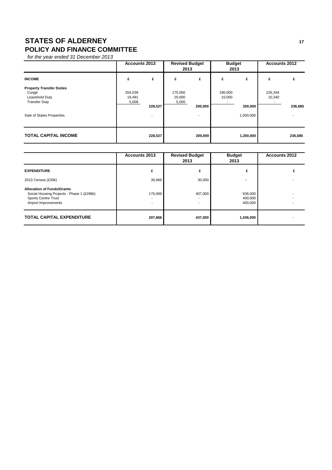# **STATES OF ALDERNEY** 17 **POLICY AND FINANCE COMMITTEE**

|                                                                                                                 | <b>Accounts 2013</b>       |         | <b>Revised Budget</b><br>2013 |                                     | <b>Budget</b><br>2013 |                      | <b>Accounts 2012</b> |         |
|-----------------------------------------------------------------------------------------------------------------|----------------------------|---------|-------------------------------|-------------------------------------|-----------------------|----------------------|----------------------|---------|
| <b>INCOME</b>                                                                                                   | £                          | £       | £                             | £                                   | £                     | £                    | £                    |         |
| <b>Property Transfer Duties</b><br>Congé<br>Leasehold Duty<br><b>Transfer Duty</b><br>Sale of States Properties | 204,038<br>19,481<br>5,008 | 228,527 | 175,000<br>20,000<br>5,000    | 200,000<br>$\overline{\phantom{a}}$ | 190,000<br>10,000     | 200,000<br>1,000,000 | 226,344<br>10,340    | 236,685 |
| <b>TOTAL CAPITAL INCOME</b>                                                                                     |                            | 228,527 |                               | 200,000                             |                       | 1,200,000            |                      | 236,685 |

|                                                                                                                                      | <b>Accounts 2013</b> | <b>Revised Budget</b><br>2013             | <b>Budget</b><br>2013         | <b>Accounts 2012</b> |
|--------------------------------------------------------------------------------------------------------------------------------------|----------------------|-------------------------------------------|-------------------------------|----------------------|
| <b>EXPENDITURE</b>                                                                                                                   | £                    | £                                         | £                             |                      |
| 2013 Census (£30k)                                                                                                                   | 30,966               | 30,000                                    |                               |                      |
| <b>Allocation of Funds/Grants</b><br>Social Housing Projects - Phase 1 (£296k)<br><b>Sports Centre Trust</b><br>Airport Improvements | 176,900<br>۰         | 407,000<br>۰.<br>$\overline{\phantom{a}}$ | 636,000<br>400,000<br>400,000 |                      |
| <b>TOTAL CAPITAL EXPENDITURE</b>                                                                                                     | 207,866              | 437,000                                   | 1,436,000                     |                      |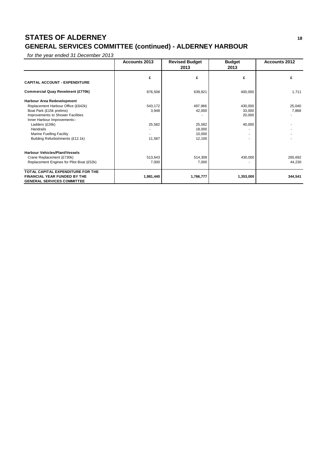# **STATES OF ALDERNEY <sup>18</sup> GENERAL SERVICES COMMITTEE (continued) - ALDERNEY HARBOUR**

|                                                                          | <b>Accounts 2013</b> | <b>Revised Budget</b> | <b>Budget</b> | <b>Accounts 2012</b> |
|--------------------------------------------------------------------------|----------------------|-----------------------|---------------|----------------------|
|                                                                          |                      | 2013                  | 2013          |                      |
|                                                                          | £                    | £                     | £             | £                    |
| <b>CAPITAL ACCOUNT - EXPENDITURE</b>                                     |                      |                       |               |                      |
| <b>Commercial Quay Revetment (£770k)</b>                                 | 876,508              | 639,821               | 400,000       | 1,711                |
| Harbour Area Redevelopment                                               |                      |                       |               |                      |
| Replacement Harbour Office (£642k)                                       | 543,172              | 497,966               | 430,000       | 25,040               |
| Boat Park (£15k prelims)                                                 | 3,948                | 42,000                | 33,000        | 7,868                |
| Improvements to Shower Facilities                                        |                      |                       | 20,000        |                      |
| Inner Harbour Improvements:-                                             |                      |                       |               |                      |
| Ladders (£26k)                                                           | 25,582               | 25,582                | 40,000        |                      |
| <b>Handrails</b>                                                         |                      | 18,000                |               |                      |
| <b>Marine Fuelling Facility</b>                                          |                      | 10,000                |               |                      |
| Building Refurbishments (£12.1k)                                         | 11,587               | 12,100                |               |                      |
| <b>Harbour Vehicles/Plant/Vessels</b>                                    |                      |                       |               |                      |
| Crane Replacement (£730k)                                                | 513,643              | 514,308               | 430,000       | 265,692              |
| Replacement Engines for Pilot Boat (£52k)                                | 7,000                | 7,000                 |               | 44,230               |
| TOTAL CAPITAL EXPENDITURE FOR THE                                        |                      |                       |               |                      |
| <b>FINANCIAL YEAR FUNDED BY THE</b><br><b>GENERAL SERVICES COMMITTEE</b> | 1,981,440            | 1,766,777             | 1,353,000     | 344,541              |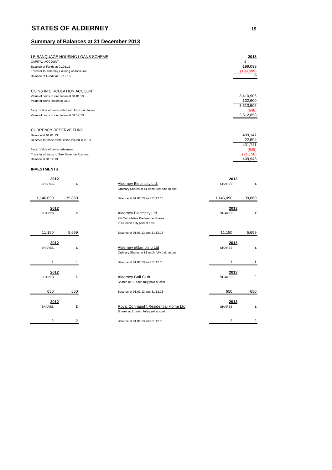## **Summary of Balances at 31 December 2013**

| LE BANQUAGE HOUSING LOANS SCHEME<br>CAPITAL ACCOUNT |                |                                                                                   |                | 2013<br>£          |
|-----------------------------------------------------|----------------|-----------------------------------------------------------------------------------|----------------|--------------------|
| Balance of Funds at 01.01.13                        |                |                                                                                   |                | 199,099            |
| Transfer to Alderney Housing Association            |                |                                                                                   |                | (199, 099)         |
| Balance of Funds at 31.12.13                        |                |                                                                                   |                | 0                  |
|                                                     |                |                                                                                   |                |                    |
| COINS IN CIRCULATION ACCOUNT                        |                |                                                                                   |                |                    |
| Value of coins in circulation at 01.01.13           |                |                                                                                   |                | 3,410,906          |
| Value of coins issued in 2013                       |                |                                                                                   |                | 102,600            |
| Less: Value of coins withdrawn from circulation     |                |                                                                                   |                | 3,513,506<br>(648) |
| Value of coins in circulation at 31.12.13           |                |                                                                                   |                | 3,512,858          |
|                                                     |                |                                                                                   |                |                    |
| <b>CURRENCY RESERVE FUND</b>                        |                |                                                                                   |                |                    |
| Balance at 01.01.13                                 |                |                                                                                   |                | 409,147            |
| Reserve for base metal coins issued in 2013         |                |                                                                                   |                | 22,594<br>431,741  |
| Less: Value of coins redeemed.                      |                |                                                                                   |                | (648)              |
| Transfer of funds to SoA Revenue Account            |                |                                                                                   |                | (21, 150)          |
| Balance at 31.12.13                                 |                |                                                                                   |                | 409,943            |
| <b>INVESTMENTS</b>                                  |                |                                                                                   |                |                    |
|                                                     |                |                                                                                   |                |                    |
| 2012                                                |                |                                                                                   | 2013           |                    |
| <b>SHARES</b>                                       | £              | <b>Alderney Electricity Ltd.</b><br>Ordinary Shares at £1 each fully paid at cost | <b>SHARES</b>  | £                  |
|                                                     |                |                                                                                   |                |                    |
| 1,146,090                                           | 39,860         | Balance at 01.01.13 and 31.12.13                                                  | 1,146,090      | 39,860             |
|                                                     |                |                                                                                   |                |                    |
| 2012                                                |                |                                                                                   | 2013           |                    |
| <b>SHARES</b>                                       | £              | Alderney Electricity Ltd.<br>7% Cumulative Preference Shares                      | <b>SHARES</b>  | £                  |
|                                                     |                | at £1 each fully paid at cost                                                     |                |                    |
|                                                     |                |                                                                                   |                |                    |
| 11,150                                              | 5,659          | Balance at 01.01.13 and 31.12.13                                                  | 11,150         | 5.659              |
| 2012                                                |                |                                                                                   | 2013           |                    |
| <b>SHARES</b>                                       | £              | Alderney eGambling Ltd                                                            | <b>SHARES</b>  | £                  |
|                                                     |                | Ordinary Shares at £1 each fully paid at cost                                     |                |                    |
| 1                                                   | 1              | Balance at 01.01.13 and 31.12.13                                                  | 1              | 1                  |
|                                                     |                |                                                                                   |                |                    |
| 2012                                                |                |                                                                                   | 2013           |                    |
| <b>SHARES</b>                                       | £              | <b>Alderney Golf Club</b>                                                         | <b>SHARES</b>  | £                  |
|                                                     |                | Shares at £1 each fully paid at cost                                              |                |                    |
| 650                                                 | 650            | Balance at 01.01.13 and 31.12.13                                                  | 650            | 650                |
|                                                     |                |                                                                                   |                |                    |
| 2012                                                |                |                                                                                   | 2013           |                    |
| <b>SHARES</b>                                       | £              | Royal Connaught Residential Home Ltd                                              | <b>SHARES</b>  | £                  |
|                                                     |                | Shares at £1 each fully paid at cost                                              |                |                    |
| $\overline{2}$                                      | $\overline{2}$ | Balance at 01.01.13 and 31.12.13                                                  | $\overline{2}$ | 2                  |
|                                                     |                |                                                                                   |                |                    |

.